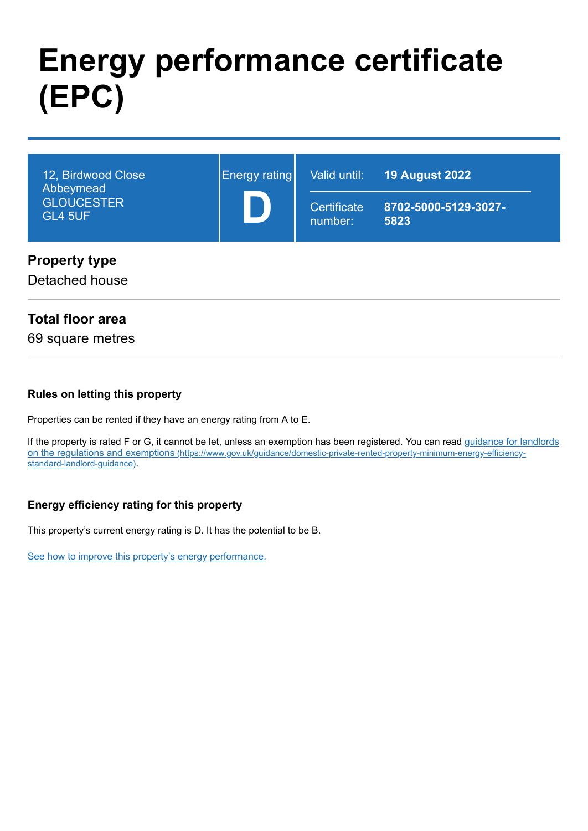# **Energy performance certificate (EPC)**

| 12, Birdwood Close<br>Abbeymead<br><b>GLOUCESTER</b><br><b>GL4 5UF</b> | Energy rating | Valid until:<br>Certificate<br>number: | <b>19 August 2022</b><br>8702-5000-5129-3027-<br>5823 |
|------------------------------------------------------------------------|---------------|----------------------------------------|-------------------------------------------------------|
| <b>Property type</b><br>Detached house                                 |               |                                        |                                                       |

## **Total floor area**

69 square metres

#### **Rules on letting this property**

Properties can be rented if they have an energy rating from A to E.

[If the property is rated F or G, it cannot be let, unless an exemption has been registered. You can read guidance for landlords](https://www.gov.uk/guidance/domestic-private-rented-property-minimum-energy-efficiency-standard-landlord-guidance) on the regulations and exemptions (https://www.gov.uk/guidance/domestic-private-rented-property-minimum-energy-efficiencystandard-landlord-guidance).

## **Energy efficiency rating for this property**

This property's current energy rating is D. It has the potential to be B.

[See how to improve this property's energy performance.](#page-3-0)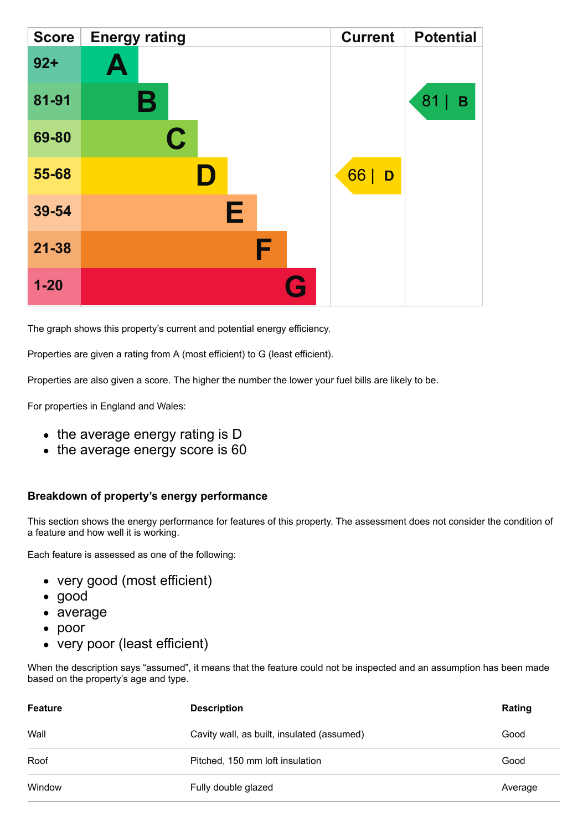| <b>Score</b> | <b>Energy rating</b> | <b>Current</b> | <b>Potential</b> |
|--------------|----------------------|----------------|------------------|
| $92 +$       | A                    |                |                  |
| 81-91        | В                    |                | 81<br>B          |
| 69-80        | $\mathbf C$          |                |                  |
| 55-68        |                      | 66<br>D        |                  |
| 39-54        | Е                    |                |                  |
| $21 - 38$    | F                    |                |                  |
| $1 - 20$     | Q                    |                |                  |

The graph shows this property's current and potential energy efficiency.

Properties are given a rating from A (most efficient) to G (least efficient).

Properties are also given a score. The higher the number the lower your fuel bills are likely to be.

For properties in England and Wales:

- the average energy rating is D
- the average energy score is 60

#### **Breakdown of property's energy performance**

This section shows the energy performance for features of this property. The assessment does not consider the condition of a feature and how well it is working.

Each feature is assessed as one of the following:

- very good (most efficient)
- good
- average
- poor
- very poor (least efficient)

When the description says "assumed", it means that the feature could not be inspected and an assumption has been made based on the property's age and type.

| <b>Feature</b> | <b>Description</b>                         | Rating  |
|----------------|--------------------------------------------|---------|
| Wall           | Cavity wall, as built, insulated (assumed) | Good    |
| Roof           | Pitched, 150 mm loft insulation            | Good    |
| Window         | Fully double glazed                        | Average |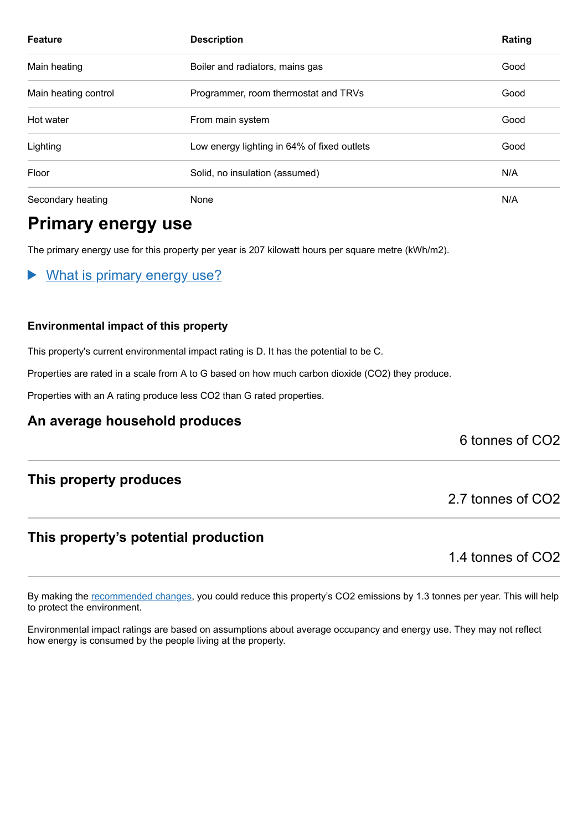| <b>Feature</b>       | <b>Description</b>                          | Rating |
|----------------------|---------------------------------------------|--------|
| Main heating         | Boiler and radiators, mains gas             | Good   |
| Main heating control | Programmer, room thermostat and TRVs        | Good   |
| Hot water            | From main system                            | Good   |
| Lighting             | Low energy lighting in 64% of fixed outlets | Good   |
| Floor                | Solid, no insulation (assumed)              | N/A    |
| Secondary heating    | None                                        | N/A    |

## **Primary energy use**

The primary energy use for this property per year is 207 kilowatt hours per square metre (kWh/m2).

What is primary energy use?  $\blacktriangleright$ 

#### **Environmental impact of this property**

This property's current environmental impact rating is D. It has the potential to be C.

Properties are rated in a scale from A to G based on how much carbon dioxide (CO2) they produce.

Properties with an A rating produce less CO2 than G rated properties.

## **An average household produces**

6 tonnes of CO2

## **This property produces**

## **This property's potential production**

1.4 tonnes of CO2

2.7 tonnes of CO2

By making the [recommended changes,](#page-3-0) you could reduce this property's CO2 emissions by 1.3 tonnes per year. This will help to protect the environment.

Environmental impact ratings are based on assumptions about average occupancy and energy use. They may not reflect how energy is consumed by the people living at the property.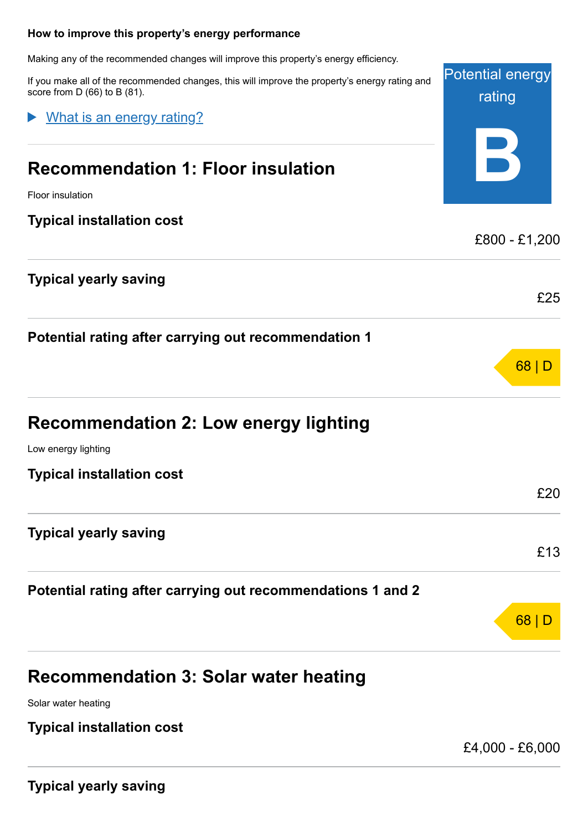#### <span id="page-3-0"></span>**How to improve this property's energy performance**

Making any of the recommended changes will improve this property's energy efficiency.

If you make all of the recommended changes, this will improve the property's energy rating and score from D (66) to B (81).

What is an energy rating?

## **Recommendation 1: Floor insulation**

## **Typical yearly saving**

| <b>Recommendation 2: Low energy lighting</b> |  |
|----------------------------------------------|--|
|----------------------------------------------|--|

## **Recommendation 3: Solar water heating**

Solar water heating

## **Typical installation cost**

£4,000 - £6,000

Potential energy

rating

| <u>ے تحصیر و مستقیم مستقیم میں</u>                          |               |
|-------------------------------------------------------------|---------------|
| <b>Recommendation 1: Floor insulation</b>                   |               |
| <b>Floor insulation</b>                                     |               |
| <b>Typical installation cost</b>                            |               |
|                                                             | £800 - £1,200 |
| Typical yearly saving                                       |               |
|                                                             | £25           |
| Potential rating after carrying out recommendation 1        |               |
|                                                             | 68 D          |
| Recommendation 2: Low energy lighting                       |               |
| Low energy lighting                                         |               |
| <b>Typical installation cost</b>                            |               |
|                                                             | £20           |
| <b>Typical yearly saving</b>                                |               |
|                                                             | £13           |
| Potential rating after carrying out recommendations 1 and 2 |               |
|                                                             | 68            |
|                                                             |               |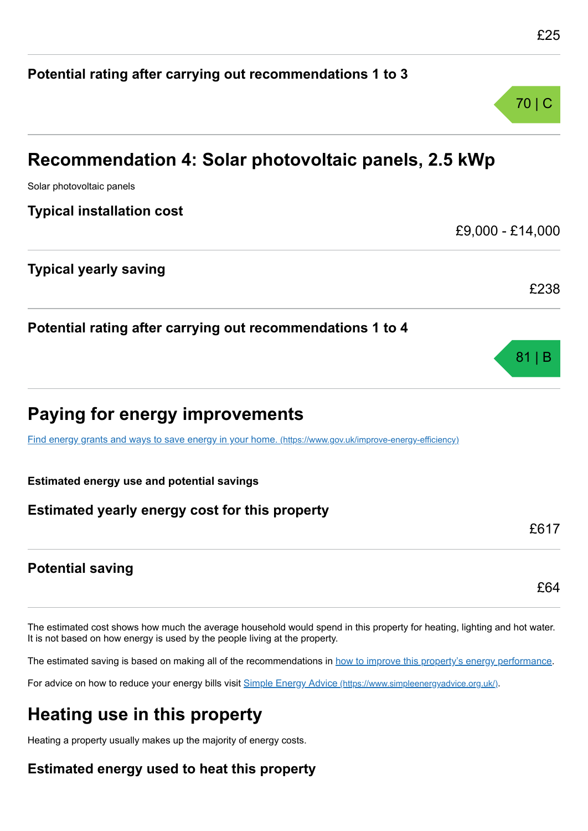£64

# **Potential rating after carrying out recommendations 1 to 3** 70 | C **Recommendation 4: Solar photovoltaic panels, 2.5 kWp** Solar photovoltaic panels **Typical installation cost** £9,000 - £14,000 **Typical yearly saving** £238 **Potential rating after carrying out recommendations 1 to 4** 81 | B **Paying for energy improvements** [Find energy grants and ways to save energy in your home.](https://www.gov.uk/improve-energy-efficiency) (https://www.gov.uk/improve-energy-efficiency) **Estimated energy use and potential savings Estimated yearly energy cost for this property** £617

## **Potential saving**

The estimated cost shows how much the average household would spend in this property for heating, lighting and hot water. It is not based on how energy is used by the people living at the property.

The estimated saving is based on making all of the recommendations in [how to improve this property's energy performance.](#page-3-0)

For advice on how to reduce your energy bills visit Simple Energy Advice [\(https://www.simpleenergyadvice.org.uk/\)](https://www.simpleenergyadvice.org.uk/).

## **Heating use in this property**

Heating a property usually makes up the majority of energy costs.

## **Estimated energy used to heat this property**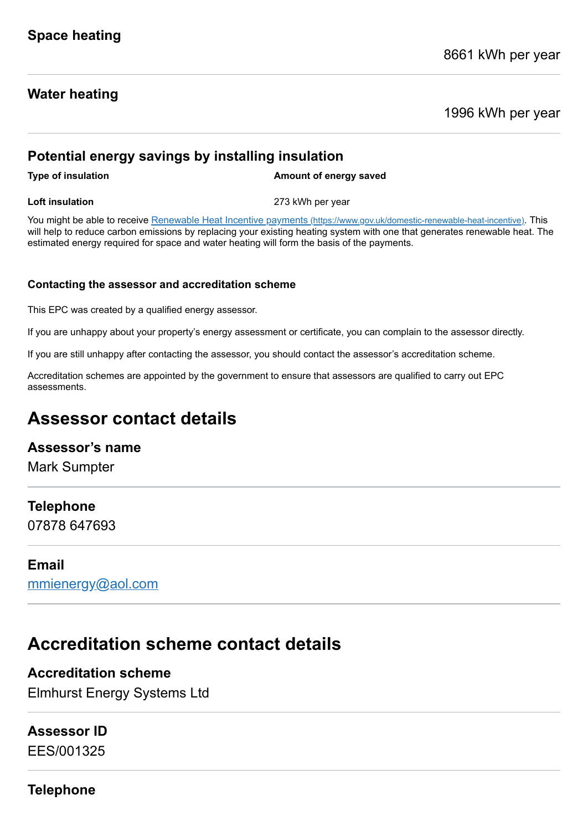## **Water heating**

1996 kWh per year

## **Potential energy savings by installing insulation**

**Type of insulation Amount of energy saved** 

**Loft insulation** 273 kWh per year

You might be able to receive Renewable Heat Incentive payments [\(https://www.gov.uk/domestic-renewable-heat-incentive\)](https://www.gov.uk/domestic-renewable-heat-incentive). This will help to reduce carbon emissions by replacing your existing heating system with one that generates renewable heat. The estimated energy required for space and water heating will form the basis of the payments.

#### **Contacting the assessor and accreditation scheme**

This EPC was created by a qualified energy assessor.

If you are unhappy about your property's energy assessment or certificate, you can complain to the assessor directly.

If you are still unhappy after contacting the assessor, you should contact the assessor's accreditation scheme.

Accreditation schemes are appointed by the government to ensure that assessors are qualified to carry out EPC assessments.

## **Assessor contact details**

## **Assessor's name**

Mark Sumpter

## **Telephone**

07878 647693

## **Email**

[mmienergy@aol.com](mailto:mmienergy@aol.com)

## **Accreditation scheme contact details**

## **Accreditation scheme**

Elmhurst Energy Systems Ltd

## **Assessor ID**

EES/001325

**Telephone**